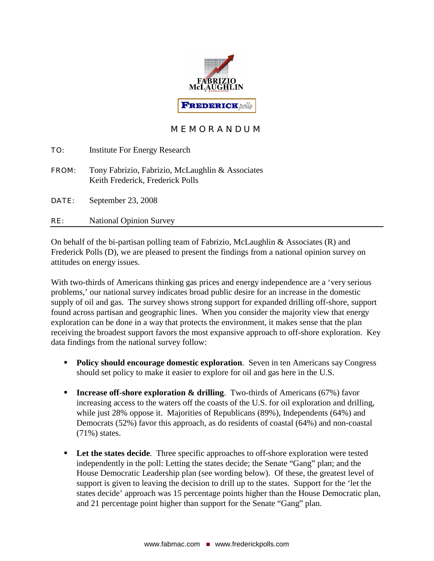

# M E M O R A N D U M

| TO:   | <b>Institute For Energy Research</b>                                                 |
|-------|--------------------------------------------------------------------------------------|
| FROM: | Tony Fabrizio, Fabrizio, McLaughlin & Associates<br>Keith Frederick, Frederick Polls |
| DATE: | September 23, 2008                                                                   |
| RE:   | <b>National Opinion Survey</b>                                                       |

On behalf of the bi-partisan polling team of Fabrizio, McLaughlin  $\&$  Associates  $(R)$  and Frederick Polls (D), we are pleased to present the findings from a national opinion survey on attitudes on energy issues.

With two-thirds of Americans thinking gas prices and energy independence are a 'very serious problems,' our national survey indicates broad public desire for an increase in the domestic supply of oil and gas. The survey shows strong support for expanded drilling off-shore, support found across partisan and geographic lines. When you consider the majority view that energy exploration can be done in a way that protects the environment, it makes sense that the plan receiving the broadest support favors the most expansive approach to off-shore exploration. Key data findings from the national survey follow:

- **Policy should encourage domestic exploration.** Seven in ten Americans say Congress should set policy to make it easier to explore for oil and gas here in the U.S.
- **Increase off-shore exploration & drilling**. Two-thirds of Americans (67%) favor increasing access to the waters off the coasts of the U.S. for oil exploration and drilling, while just 28% oppose it. Majorities of Republicans (89%), Independents (64%) and Democrats (52%) favor this approach, as do residents of coastal (64%) and non-coastal (71%) states.
- **Let the states decide.** Three specific approaches to off-shore exploration were tested independently in the poll: Letting the states decide; the Senate "Gang" plan; and the House Democratic Leadership plan (see wording below). Of these, the greatest level of support is given to leaving the decision to drill up to the states. Support for the 'let the states decide' approach was 15 percentage points higher than the House Democratic plan, and 21 percentage point higher than support for the Senate "Gang" plan.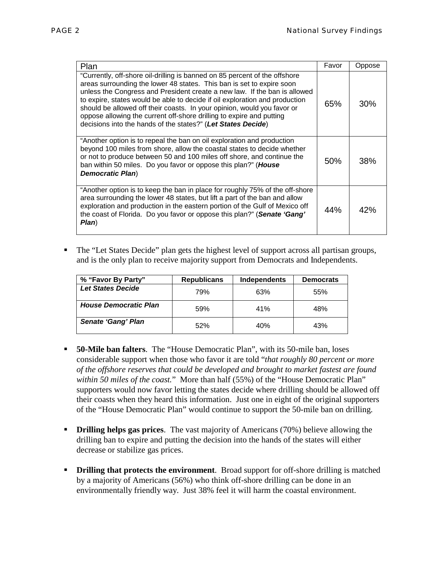| Plan                                                                                                                                                                                                                                                                                                                                                                                                                                                                                                                               | Favor | Oppose |
|------------------------------------------------------------------------------------------------------------------------------------------------------------------------------------------------------------------------------------------------------------------------------------------------------------------------------------------------------------------------------------------------------------------------------------------------------------------------------------------------------------------------------------|-------|--------|
| "Currently, off-shore oil-drilling is banned on 85 percent of the offshore<br>areas surrounding the lower 48 states. This ban is set to expire soon<br>unless the Congress and President create a new law. If the ban is allowed<br>to expire, states would be able to decide if oil exploration and production<br>should be allowed off their coasts. In your opinion, would you favor or<br>oppose allowing the current off-shore drilling to expire and putting<br>decisions into the hands of the states?" (Let States Decide) | 65%   | 30%    |
| "Another option is to repeal the ban on oil exploration and production<br>beyond 100 miles from shore, allow the coastal states to decide whether<br>or not to produce between 50 and 100 miles off shore, and continue the<br>ban within 50 miles. Do you favor or oppose this plan?" (House<br><b>Democratic Plan)</b>                                                                                                                                                                                                           | 50%   | 38%    |
| "Another option is to keep the ban in place for roughly 75% of the off-shore<br>area surrounding the lower 48 states, but lift a part of the ban and allow<br>exploration and production in the eastern portion of the Gulf of Mexico off<br>the coast of Florida. Do you favor or oppose this plan?" (Senate 'Gang'<br>Plan)                                                                                                                                                                                                      | 44%   | 42%    |

 The "Let States Decide" plan gets the highest level of support across all partisan groups, and is the only plan to receive majority support from Democrats and Independents.

| % "Favor By Party"           | <b>Republicans</b> | Independents | <b>Democrats</b> |
|------------------------------|--------------------|--------------|------------------|
| <b>Let States Decide</b>     | 79%                | 63%          | 55%              |
| <b>House Democratic Plan</b> | 59%                | 41%          | 48%              |
| <b>Senate 'Gang' Plan</b>    | 52%                | 40%          | 43%              |

- **50-Mile ban falters**. The "House Democratic Plan", with its 50-mile ban, loses considerable support when those who favor it are told "*that roughly 80 percent or more of the offshore reserves that could be developed and brought to market fastest are found within 50 miles of the coast.*" More than half (55%) of the "House Democratic Plan" supporters would now favor letting the states decide where drilling should be allowed off their coasts when they heard this information. Just one in eight of the original supporters of the "House Democratic Plan" would continue to support the 50-mile ban on drilling.
- **Drilling helps gas prices**. The vast majority of Americans (70%) believe allowing the drilling ban to expire and putting the decision into the hands of the states will either decrease or stabilize gas prices.
- **Drilling that protects the environment**. Broad support for off-shore drilling is matched by a majority of Americans (56%) who think off-shore drilling can be done in an environmentally friendly way. Just 38% feel it will harm the coastal environment.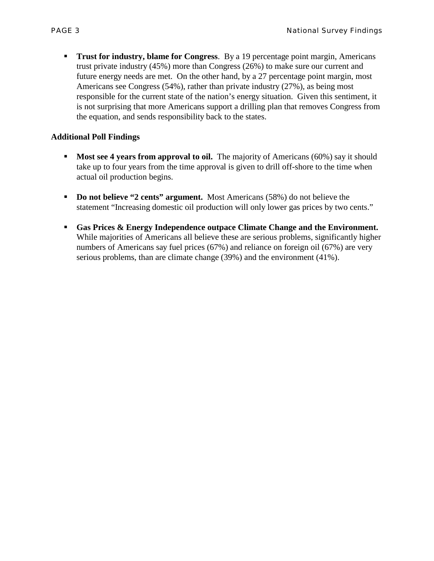**Trust for industry, blame for Congress.** By a 19 percentage point margin, Americans trust private industry (45%) more than Congress (26%) to make sure our current and future energy needs are met. On the other hand, by a 27 percentage point margin, most Americans see Congress (54%), rather than private industry (27%), as being most responsible for the current state of the nation's energy situation. Given this sentiment, it is not surprising that more Americans support a drilling plan that removes Congress from the equation, and sends responsibility back to the states.

## **Additional Poll Findings**

- **Most see 4 years from approval to oil.** The majority of Americans (60%) say it should take up to four years from the time approval is given to drill off-shore to the time when actual oil production begins.
- **Do not believe "2 cents" argument.** Most Americans (58%) do not believe the statement "Increasing domestic oil production will only lower gas prices by two cents."
- **Gas Prices & Energy Independence outpace Climate Change and the Environment.**  While majorities of Americans all believe these are serious problems, significantly higher numbers of Americans say fuel prices (67%) and reliance on foreign oil (67%) are very serious problems, than are climate change (39%) and the environment (41%).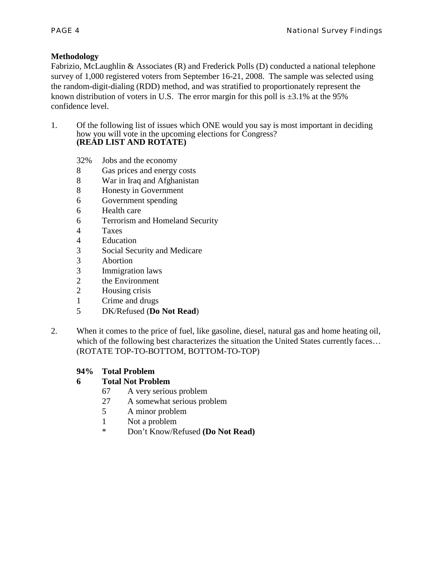#### **Methodology**

Fabrizio, McLaughlin & Associates (R) and Frederick Polls (D) conducted a national telephone survey of 1,000 registered voters from September 16-21, 2008. The sample was selected using the random-digit-dialing (RDD) method, and was stratified to proportionately represent the known distribution of voters in U.S. The error margin for this poll is  $\pm 3.1\%$  at the 95% confidence level.

- 1. Of the following list of issues which ONE would you say is most important in deciding how you will vote in the upcoming elections for Congress? **(READ LIST AND ROTATE)**
	- 32% Jobs and the economy
	- 8 Gas prices and energy costs
	- 8 War in Iraq and Afghanistan
	- 8 Honesty in Government
	- 6 Government spending
	- 6 Health care
	- 6 Terrorism and Homeland Security
	- 4 Taxes
	- 4 Education
	- 3 Social Security and Medicare
	- 3 Abortion
	- 3 Immigration laws
	- 2 the Environment
	- 2 Housing crisis
	- 1 Crime and drugs
	- 5 DK/Refused (**Do Not Read**)
- 2. When it comes to the price of fuel, like gasoline, diesel, natural gas and home heating oil, which of the following best characterizes the situation the United States currently faces... (ROTATE TOP-TO-BOTTOM, BOTTOM-TO-TOP)

#### **94% Total Problem**

# **6 Total Not Problem**

- 67 A very serious problem
- 27 A somewhat serious problem
- 5 A minor problem
- 1 Not a problem
- \* Don't Know/Refused **(Do Not Read)**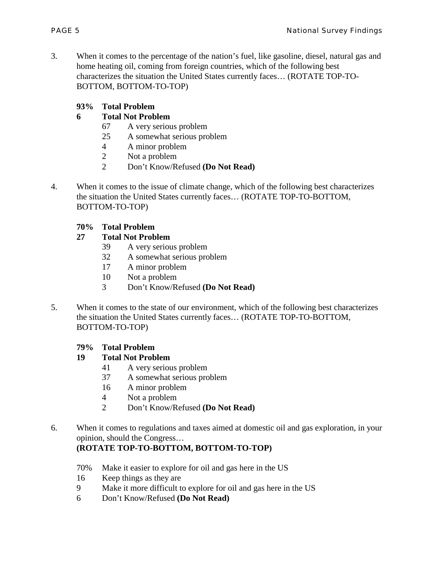3. When it comes to the percentage of the nation's fuel, like gasoline, diesel, natural gas and home heating oil, coming from foreign countries, which of the following best characterizes the situation the United States currently faces… (ROTATE TOP-TO-BOTTOM, BOTTOM-TO-TOP)

#### **93% Total Problem**

## **6 Total Not Problem**

- 67 A very serious problem
- 25 A somewhat serious problem
- 4 A minor problem
- 2 Not a problem
- 2 Don't Know/Refused **(Do Not Read)**
- 4. When it comes to the issue of climate change, which of the following best characterizes the situation the United States currently faces… (ROTATE TOP-TO-BOTTOM, BOTTOM-TO-TOP)

#### **70% Total Problem**

## **27 Total Not Problem**

- 39 A very serious problem
- 32 A somewhat serious problem
- 17 A minor problem
- 10 Not a problem
- 3 Don't Know/Refused **(Do Not Read)**
- 5. When it comes to the state of our environment, which of the following best characterizes the situation the United States currently faces… (ROTATE TOP-TO-BOTTOM, BOTTOM-TO-TOP)

#### **79% Total Problem**

#### **19 Total Not Problem**

- 41 A very serious problem
- 37 A somewhat serious problem
- 16 A minor problem
- 4 Not a problem
- 2 Don't Know/Refused **(Do Not Read)**
- 6. When it comes to regulations and taxes aimed at domestic oil and gas exploration, in your opinion, should the Congress…

# **(ROTATE TOP-TO-BOTTOM, BOTTOM-TO-TOP)**

- 70% Make it easier to explore for oil and gas here in the US
- 16 Keep things as they are
- 9 Make it more difficult to explore for oil and gas here in the US
- 6 Don't Know/Refused **(Do Not Read)**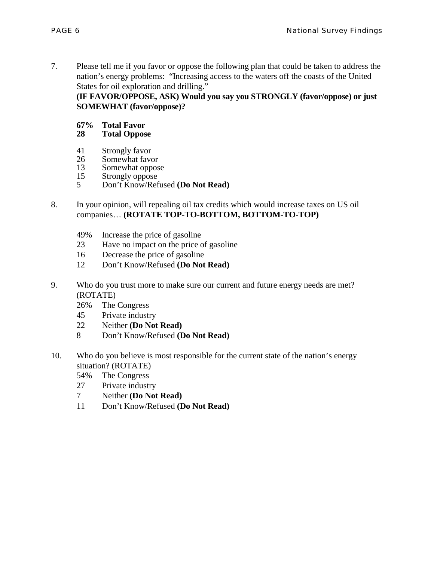7. Please tell me if you favor or oppose the following plan that could be taken to address the nation's energy problems: "Increasing access to the waters off the coasts of the United States for oil exploration and drilling."

**(IF FAVOR/OPPOSE, ASK) Would you say you STRONGLY (favor/oppose) or just SOMEWHAT (favor/oppose)?**

# **67% Total Favor**

#### **28 Total Oppose**

- 41 Strongly favor<br>26 Somewhat favo
- 26 Somewhat favor<br>13 Somewhat oppos
- 13 Somewhat oppose<br>15 Strongly oppose
- 15 Strongly oppose<br>5 Don't Know/Ref
- 5 Don't Know/Refused **(Do Not Read)**
- 8. In your opinion, will repealing oil tax credits which would increase taxes on US oil companies… **(ROTATE TOP-TO-BOTTOM, BOTTOM-TO-TOP)**
	- 49% Increase the price of gasoline
	- 23 Have no impact on the price of gasoline
	- 16 Decrease the price of gasoline
	- 12 Don't Know/Refused **(Do Not Read)**
- 9. Who do you trust more to make sure our current and future energy needs are met? (ROTATE)
	- 26% The Congress
	- 45 Private industry
	- 22 Neither **(Do Not Read)**
	- 8 Don't Know/Refused **(Do Not Read)**
- 10. Who do you believe is most responsible for the current state of the nation's energy situation? (ROTATE)
	- 54% The Congress
	- 27 Private industry
	- 7 Neither **(Do Not Read)**
	- 11 Don't Know/Refused **(Do Not Read)**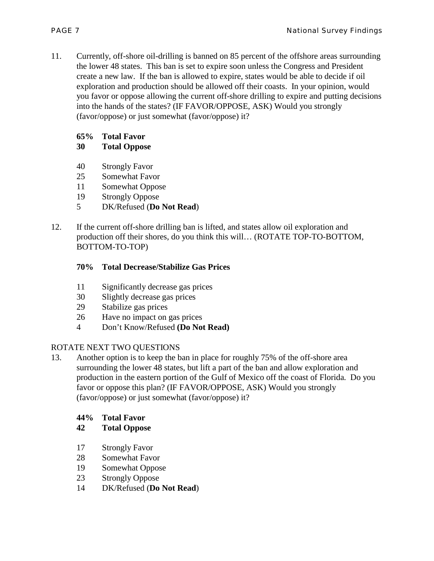11. Currently, off-shore oil-drilling is banned on 85 percent of the offshore areas surrounding the lower 48 states. This ban is set to expire soon unless the Congress and President create a new law. If the ban is allowed to expire, states would be able to decide if oil exploration and production should be allowed off their coasts. In your opinion, would you favor or oppose allowing the current off-shore drilling to expire and putting decisions into the hands of the states? (IF FAVOR/OPPOSE, ASK) Would you strongly (favor/oppose) or just somewhat (favor/oppose) it?

## **65% Total Favor**

## **30 Total Oppose**

- 40 Strongly Favor
- 25 Somewhat Favor
- 11 Somewhat Oppose
- 19 Strongly Oppose
- 5 DK/Refused (**Do Not Read**)
- 12. If the current off-shore drilling ban is lifted, and states allow oil exploration and production off their shores, do you think this will… (ROTATE TOP-TO-BOTTOM, BOTTOM-TO-TOP)

## **70% Total Decrease/Stabilize Gas Prices**

- 11 Significantly decrease gas prices
- 30 Slightly decrease gas prices
- 29 Stabilize gas prices
- 26 Have no impact on gas prices
- 4 Don't Know/Refused **(Do Not Read)**

# ROTATE NEXT TWO QUESTIONS

13. Another option is to keep the ban in place for roughly 75% of the off-shore area surrounding the lower 48 states, but lift a part of the ban and allow exploration and production in the eastern portion of the Gulf of Mexico off the coast of Florida. Do you favor or oppose this plan? (IF FAVOR/OPPOSE, ASK) Would you strongly (favor/oppose) or just somewhat (favor/oppose) it?

#### **44% Total Favor**

# **42 Total Oppose**

- 17 Strongly Favor
- 28 Somewhat Favor
- 19 Somewhat Oppose
- 23 Strongly Oppose
- 14 DK/Refused (**Do Not Read**)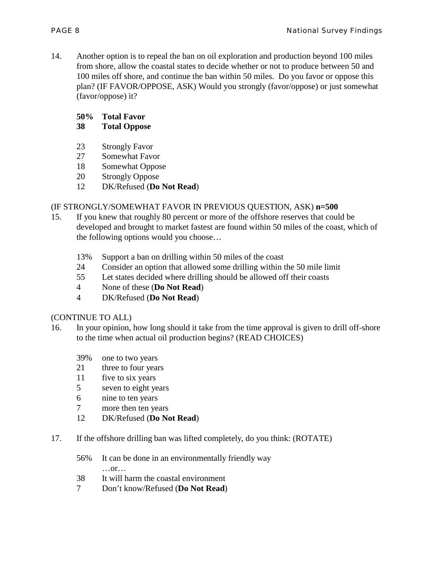14. Another option is to repeal the ban on oil exploration and production beyond 100 miles from shore, allow the coastal states to decide whether or not to produce between 50 and 100 miles off shore, and continue the ban within 50 miles. Do you favor or oppose this plan? (IF FAVOR/OPPOSE, ASK) Would you strongly (favor/oppose) or just somewhat (favor/oppose) it?

# **50% Total Favor**

#### **38 Total Oppose**

- 23 Strongly Favor
- 27 Somewhat Favor
- 18 Somewhat Oppose
- 20 Strongly Oppose
- 12 DK/Refused (**Do Not Read**)

## (IF STRONGLY/SOMEWHAT FAVOR IN PREVIOUS QUESTION, ASK) **n=500**

- 15. If you knew that roughly 80 percent or more of the offshore reserves that could be developed and brought to market fastest are found within 50 miles of the coast, which of the following options would you choose…
	- 13% Support a ban on drilling within 50 miles of the coast
	- 24 Consider an option that allowed some drilling within the 50 mile limit
	- 55 Let states decided where drilling should be allowed off their coasts
	- 4 None of these (**Do Not Read**)
	- 4 DK/Refused (**Do Not Read**)

#### (CONTINUE TO ALL)

- 16. In your opinion, how long should it take from the time approval is given to drill off-shore to the time when actual oil production begins? (READ CHOICES)
	- 39% one to two years
	- 21 three to four years
	- 11 five to six years
	- 5 seven to eight years
	- 6 nine to ten years
	- 7 more then ten years
	- 12 DK/Refused (**Do Not Read**)
- 17. If the offshore drilling ban was lifted completely, do you think: (ROTATE)
	- 56% It can be done in an environmentally friendly way …or…
	- 38 It will harm the coastal environment
	- 7 Don't know/Refused (**Do Not Read**)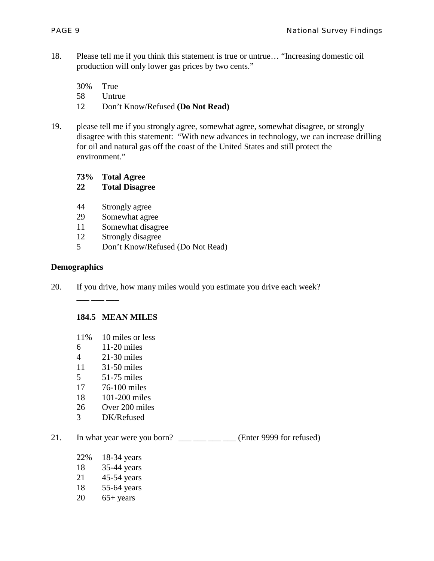18. Please tell me if you think this statement is true or untrue… "Increasing domestic oil production will only lower gas prices by two cents."

30% True 58 Untrue

- 12 Don't Know/Refused **(Do Not Read)**
- 19. please tell me if you strongly agree, somewhat agree, somewhat disagree, or strongly disagree with this statement: "With new advances in technology, we can increase drilling for oil and natural gas off the coast of the United States and still protect the environment."
	- **73% Total Agree**

**22 Total Disagree**

- 44 Strongly agree
- 29 Somewhat agree
- 11 Somewhat disagree
- 12 Strongly disagree
- 5 Don't Know/Refused (Do Not Read)

#### **Demographics**

20. If you drive, how many miles would you estimate you drive each week?

#### **184.5 MEAN MILES**

- 11% 10 miles or less
- 6 11-20 miles
- 4 21-30 miles

 $\frac{1}{\sqrt{2}}$  , and  $\frac{1}{\sqrt{2}}$ 

- 11 31-50 miles
- 5 51-75 miles
- 17 76-100 miles
- 18 101-200 miles
- 26 Over 200 miles
- 3 DK/Refused
- 21. In what year were you born?  $\frac{1}{\sqrt{2}}$   $\frac{1}{\sqrt{2}}$  (Enter 9999 for refused)
	- 22% 18-34 years
	- 18 35-44 years
	- 21 45-54 years
	- 18 55-64 years
	- $20$  65+ years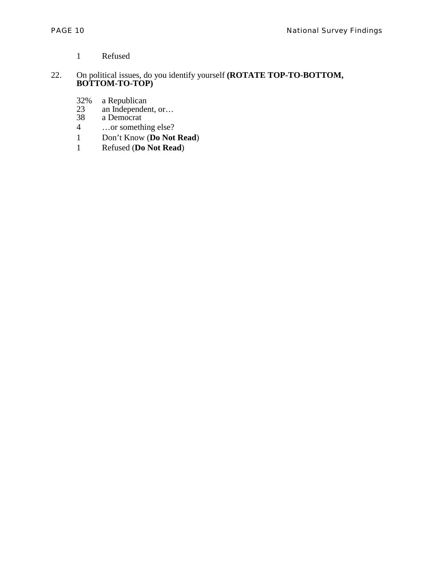- 1 Refused
- 22. On political issues, do you identify yourself **(ROTATE TOP-TO-BOTTOM, BOTTOM-TO-TOP)**
	- 32% a Republican
	- 23 an Independent, or… 32% a Republicar<br>
	23 an Independe<br>
	38 a Democrat<br>
	4 ...or someth
	-
	- ...or something else?
	- 1 Don't Know (**Do Not Read**)
	- 1 Refused (**Do Not Read**)